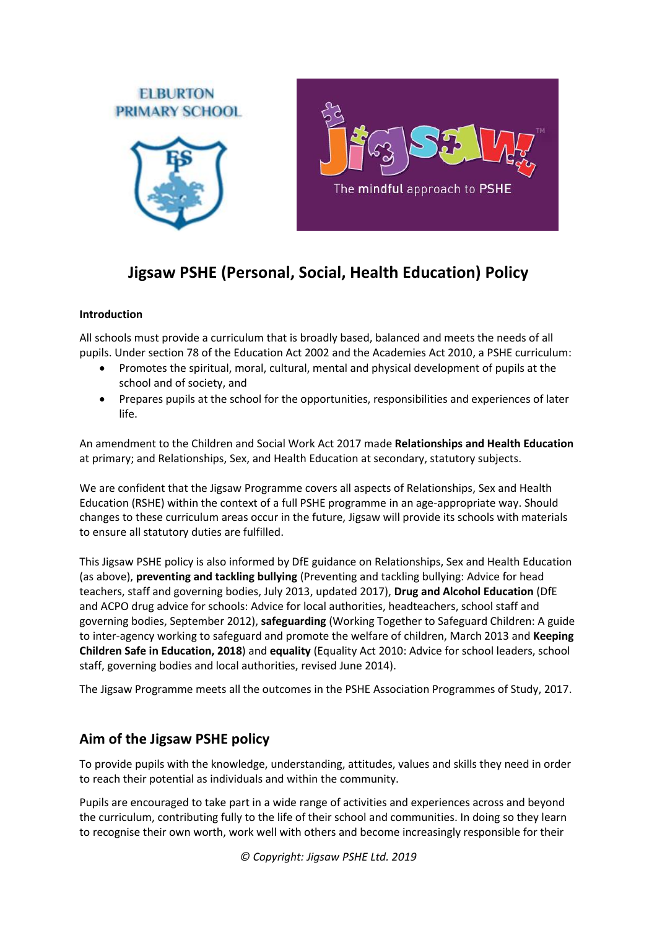

# **Jigsaw PSHE (Personal, Social, Health Education) Policy**

## **Introduction**

All schools must provide a curriculum that is broadly based, balanced and meets the needs of all pupils. Under section 78 of the Education Act 2002 and the Academies Act 2010, a PSHE curriculum:

- Promotes the spiritual, moral, cultural, mental and physical development of pupils at the school and of society, and
- Prepares pupils at the school for the opportunities, responsibilities and experiences of later life.

An amendment to the Children and Social Work Act 2017 made **Relationships and Health Education** at primary; and Relationships, Sex, and Health Education at secondary, statutory subjects.

We are confident that the Jigsaw Programme covers all aspects of Relationships, Sex and Health Education (RSHE) within the context of a full PSHE programme in an age-appropriate way. Should changes to these curriculum areas occur in the future, Jigsaw will provide its schools with materials to ensure all statutory duties are fulfilled.

This Jigsaw PSHE policy is also informed by DfE guidance on Relationships, Sex and Health Education (as above), **preventing and tackling bullying** (Preventing and tackling bullying: Advice for head teachers, staff and governing bodies, July 2013, updated 2017), **Drug and Alcohol Education** (DfE and ACPO drug advice for schools: Advice for local authorities, headteachers, school staff and governing bodies, September 2012), **safeguarding** (Working Together to Safeguard Children: A guide to inter-agency working to safeguard and promote the welfare of children, March 2013 and **Keeping Children Safe in Education, 2018**) and **equality** (Equality Act 2010: Advice for school leaders, school staff, governing bodies and local authorities, revised June 2014).

The Jigsaw Programme meets all the outcomes in the PSHE Association Programmes of Study, 2017.

## **Aim of the Jigsaw PSHE policy**

To provide pupils with the knowledge, understanding, attitudes, values and skills they need in order to reach their potential as individuals and within the community.

Pupils are encouraged to take part in a wide range of activities and experiences across and beyond the curriculum, contributing fully to the life of their school and communities. In doing so they learn to recognise their own worth, work well with others and become increasingly responsible for their

*© Copyright: Jigsaw PSHE Ltd. 2019*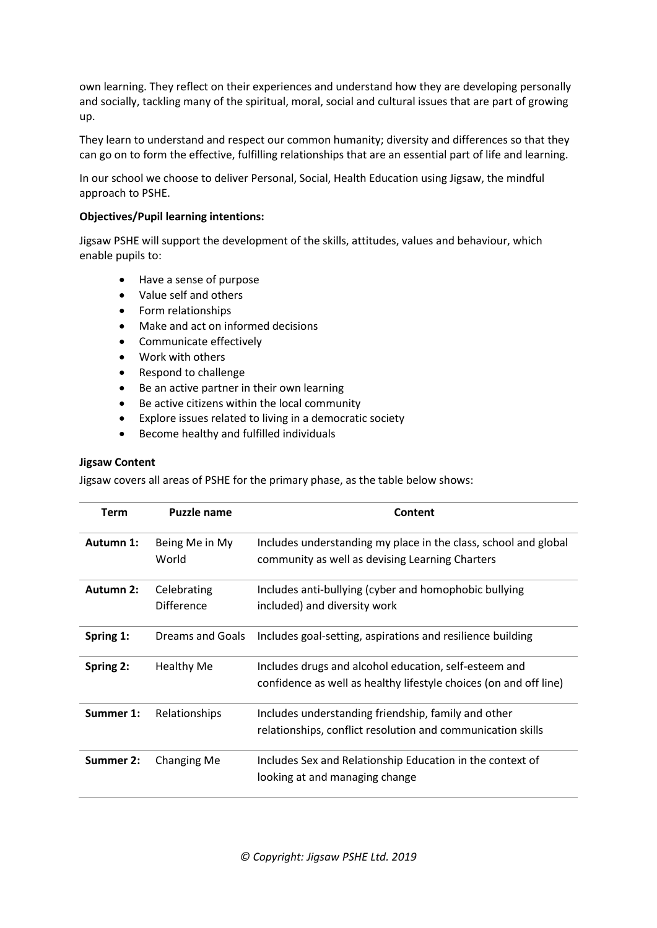own learning. They reflect on their experiences and understand how they are developing personally and socially, tackling many of the spiritual, moral, social and cultural issues that are part of growing up.

They learn to understand and respect our common humanity; diversity and differences so that they can go on to form the effective, fulfilling relationships that are an essential part of life and learning.

In our school we choose to deliver Personal, Social, Health Education using Jigsaw, the mindful approach to PSHE.

#### **Objectives/Pupil learning intentions:**

Jigsaw PSHE will support the development of the skills, attitudes, values and behaviour, which enable pupils to:

- Have a sense of purpose
- Value self and others
- Form relationships
- Make and act on informed decisions
- Communicate effectively
- Work with others
- Respond to challenge
- Be an active partner in their own learning
- Be active citizens within the local community
- Explore issues related to living in a democratic society
- Become healthy and fulfilled individuals

#### **Jigsaw Content**

Jigsaw covers all areas of PSHE for the primary phase, as the table below shows:

| Term      | <b>Puzzle name</b>               | Content                                                                                                                    |  |
|-----------|----------------------------------|----------------------------------------------------------------------------------------------------------------------------|--|
| Autumn 1: | Being Me in My<br>World          | Includes understanding my place in the class, school and global<br>community as well as devising Learning Charters         |  |
| Autumn 2: | Celebrating<br><b>Difference</b> | Includes anti-bullying (cyber and homophobic bullying<br>included) and diversity work                                      |  |
| Spring 1: | <b>Dreams and Goals</b>          | Includes goal-setting, aspirations and resilience building                                                                 |  |
| Spring 2: | <b>Healthy Me</b>                | Includes drugs and alcohol education, self-esteem and<br>confidence as well as healthy lifestyle choices (on and off line) |  |
| Summer 1: | Relationships                    | Includes understanding friendship, family and other<br>relationships, conflict resolution and communication skills         |  |
| Summer 2: | Changing Me                      | Includes Sex and Relationship Education in the context of<br>looking at and managing change                                |  |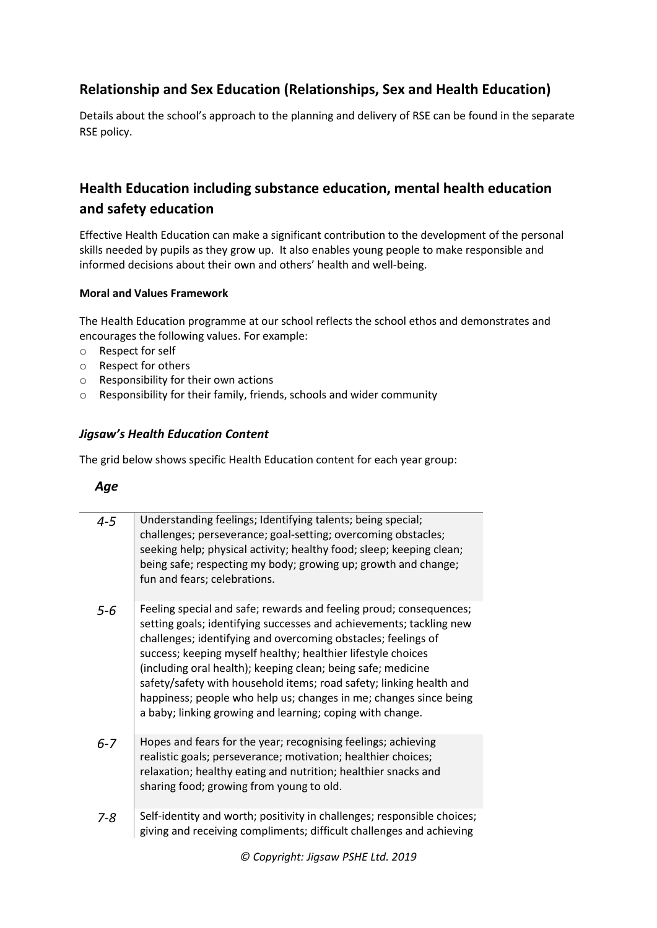## **Relationship and Sex Education (Relationships, Sex and Health Education)**

Details about the school's approach to the planning and delivery of RSE can be found in the separate RSE policy.

## **Health Education including substance education, mental health education and safety education**

Effective Health Education can make a significant contribution to the development of the personal skills needed by pupils as they grow up. It also enables young people to make responsible and informed decisions about their own and others' health and well-being.

#### **Moral and Values Framework**

The Health Education programme at our school reflects the school ethos and demonstrates and encourages the following values. For example:

- o Respect for self
- o Respect for others
- o Responsibility for their own actions
- o Responsibility for their family, friends, schools and wider community

## *Jigsaw's Health Education Content*

The grid below shows specific Health Education content for each year group:

## *Age*

| $4 - 5$ | Understanding feelings; Identifying talents; being special;<br>challenges; perseverance; goal-setting; overcoming obstacles;<br>seeking help; physical activity; healthy food; sleep; keeping clean;<br>being safe; respecting my body; growing up; growth and change;<br>fun and fears; celebrations.                                                                                                                                                                                                                                              |
|---------|-----------------------------------------------------------------------------------------------------------------------------------------------------------------------------------------------------------------------------------------------------------------------------------------------------------------------------------------------------------------------------------------------------------------------------------------------------------------------------------------------------------------------------------------------------|
| $5 - 6$ | Feeling special and safe; rewards and feeling proud; consequences;<br>setting goals; identifying successes and achievements; tackling new<br>challenges; identifying and overcoming obstacles; feelings of<br>success; keeping myself healthy; healthier lifestyle choices<br>(including oral health); keeping clean; being safe; medicine<br>safety/safety with household items; road safety; linking health and<br>happiness; people who help us; changes in me; changes since being<br>a baby; linking growing and learning; coping with change. |
| $6 - 7$ | Hopes and fears for the year; recognising feelings; achieving<br>realistic goals; perseverance; motivation; healthier choices;<br>relaxation; healthy eating and nutrition; healthier snacks and<br>sharing food; growing from young to old.                                                                                                                                                                                                                                                                                                        |
| $7 - 8$ | Self-identity and worth; positivity in challenges; responsible choices;<br>giving and receiving compliments; difficult challenges and achieving                                                                                                                                                                                                                                                                                                                                                                                                     |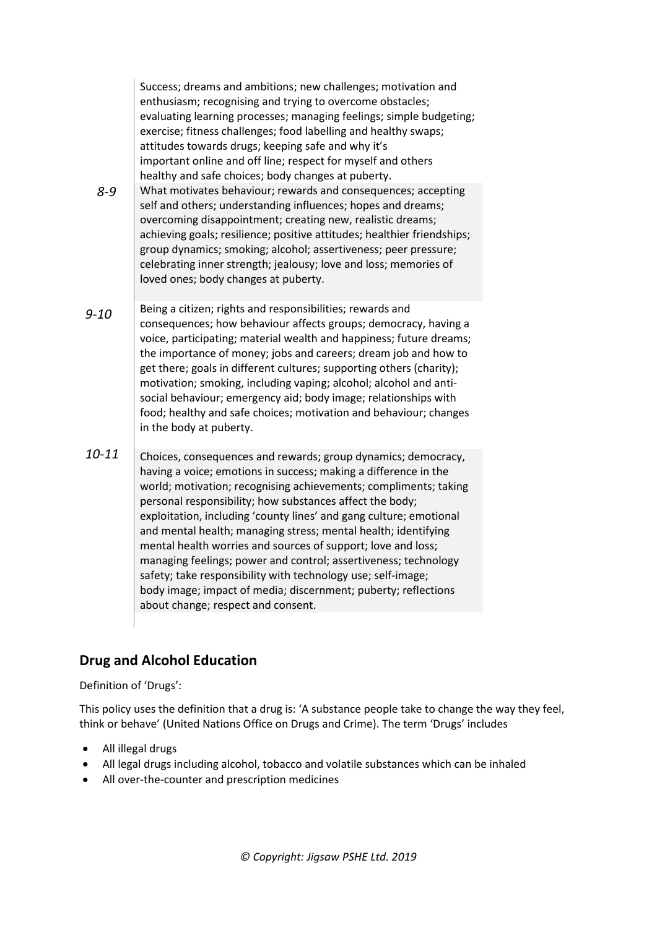|           | Success; dreams and ambitions; new challenges; motivation and<br>enthusiasm; recognising and trying to overcome obstacles;<br>evaluating learning processes; managing feelings; simple budgeting;<br>exercise; fitness challenges; food labelling and healthy swaps;<br>attitudes towards drugs; keeping safe and why it's<br>important online and off line; respect for myself and others<br>healthy and safe choices; body changes at puberty.                                                                                                                                                                                                                                                                    |
|-----------|---------------------------------------------------------------------------------------------------------------------------------------------------------------------------------------------------------------------------------------------------------------------------------------------------------------------------------------------------------------------------------------------------------------------------------------------------------------------------------------------------------------------------------------------------------------------------------------------------------------------------------------------------------------------------------------------------------------------|
| $8 - 9$   | What motivates behaviour; rewards and consequences; accepting<br>self and others; understanding influences; hopes and dreams;<br>overcoming disappointment; creating new, realistic dreams;<br>achieving goals; resilience; positive attitudes; healthier friendships;<br>group dynamics; smoking; alcohol; assertiveness; peer pressure;<br>celebrating inner strength; jealousy; love and loss; memories of<br>loved ones; body changes at puberty.                                                                                                                                                                                                                                                               |
| $9 - 10$  | Being a citizen; rights and responsibilities; rewards and<br>consequences; how behaviour affects groups; democracy, having a<br>voice, participating; material wealth and happiness; future dreams;<br>the importance of money; jobs and careers; dream job and how to<br>get there; goals in different cultures; supporting others (charity);<br>motivation; smoking, including vaping; alcohol; alcohol and anti-<br>social behaviour; emergency aid; body image; relationships with<br>food; healthy and safe choices; motivation and behaviour; changes<br>in the body at puberty.                                                                                                                              |
| $10 - 11$ | Choices, consequences and rewards; group dynamics; democracy,<br>having a voice; emotions in success; making a difference in the<br>world; motivation; recognising achievements; compliments; taking<br>personal responsibility; how substances affect the body;<br>exploitation, including 'county lines' and gang culture; emotional<br>and mental health; managing stress; mental health; identifying<br>mental health worries and sources of support; love and loss;<br>managing feelings; power and control; assertiveness; technology<br>safety; take responsibility with technology use; self-image;<br>body image; impact of media; discernment; puberty; reflections<br>about change; respect and consent. |
|           |                                                                                                                                                                                                                                                                                                                                                                                                                                                                                                                                                                                                                                                                                                                     |

## **Drug and Alcohol Education**

Definition of 'Drugs':

This policy uses the definition that a drug is: 'A substance people take to change the way they feel, think or behave' (United Nations Office on Drugs and Crime). The term 'Drugs' includes

- All illegal drugs
- All legal drugs including alcohol, tobacco and volatile substances which can be inhaled
- All over-the-counter and prescription medicines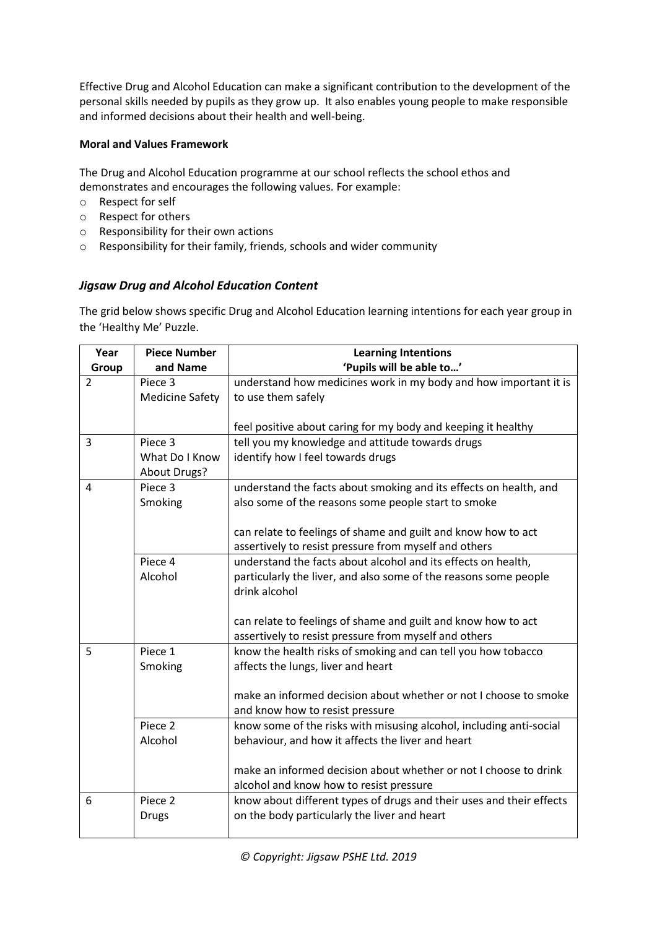Effective Drug and Alcohol Education can make a significant contribution to the development of the personal skills needed by pupils as they grow up. It also enables young people to make responsible and informed decisions about their health and well-being.

## **Moral and Values Framework**

The Drug and Alcohol Education programme at our school reflects the school ethos and demonstrates and encourages the following values. For example:

- o Respect for self
- o Respect for others
- o Responsibility for their own actions
- o Responsibility for their family, friends, schools and wider community

## *Jigsaw Drug and Alcohol Education Content*

The grid below shows specific Drug and Alcohol Education learning intentions for each year group in the 'Healthy Me' Puzzle.

| Year           | <b>Piece Number</b>    | <b>Learning Intentions</b>                                           |  |  |
|----------------|------------------------|----------------------------------------------------------------------|--|--|
| Group          | and Name               | 'Pupils will be able to'                                             |  |  |
| $\overline{2}$ | Piece 3                | understand how medicines work in my body and how important it is     |  |  |
|                | <b>Medicine Safety</b> | to use them safely                                                   |  |  |
|                |                        |                                                                      |  |  |
|                |                        | feel positive about caring for my body and keeping it healthy        |  |  |
| 3              | Piece 3                | tell you my knowledge and attitude towards drugs                     |  |  |
|                | What Do I Know         | identify how I feel towards drugs                                    |  |  |
|                | About Drugs?           |                                                                      |  |  |
| 4              | Piece 3                | understand the facts about smoking and its effects on health, and    |  |  |
|                | Smoking                | also some of the reasons some people start to smoke                  |  |  |
|                |                        |                                                                      |  |  |
|                |                        | can relate to feelings of shame and guilt and know how to act        |  |  |
|                |                        | assertively to resist pressure from myself and others                |  |  |
|                | Piece 4                | understand the facts about alcohol and its effects on health,        |  |  |
|                | Alcohol                | particularly the liver, and also some of the reasons some people     |  |  |
|                |                        | drink alcohol                                                        |  |  |
|                |                        |                                                                      |  |  |
|                |                        | can relate to feelings of shame and guilt and know how to act        |  |  |
|                |                        | assertively to resist pressure from myself and others                |  |  |
| 5              | Piece 1                | know the health risks of smoking and can tell you how tobacco        |  |  |
|                | Smoking                | affects the lungs, liver and heart                                   |  |  |
|                |                        |                                                                      |  |  |
|                |                        | make an informed decision about whether or not I choose to smoke     |  |  |
|                |                        | and know how to resist pressure                                      |  |  |
|                | Piece 2                | know some of the risks with misusing alcohol, including anti-social  |  |  |
|                | Alcohol                | behaviour, and how it affects the liver and heart                    |  |  |
|                |                        |                                                                      |  |  |
|                |                        | make an informed decision about whether or not I choose to drink     |  |  |
|                |                        | alcohol and know how to resist pressure                              |  |  |
| 6              | Piece 2                | know about different types of drugs and their uses and their effects |  |  |
|                | <b>Drugs</b>           | on the body particularly the liver and heart                         |  |  |
|                |                        |                                                                      |  |  |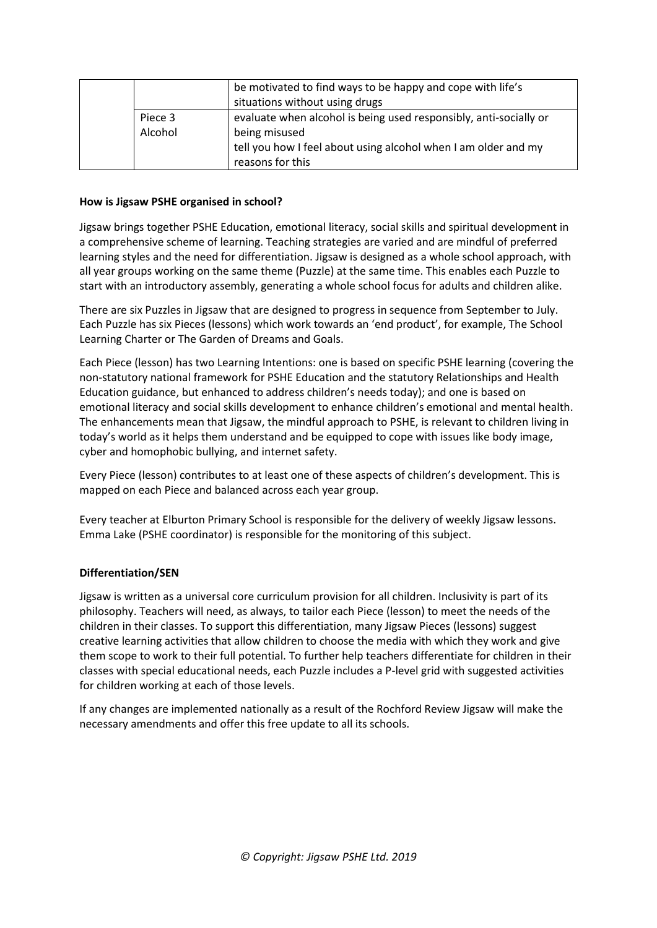|                    | be motivated to find ways to be happy and cope with life's<br>situations without using drugs                                                                             |
|--------------------|--------------------------------------------------------------------------------------------------------------------------------------------------------------------------|
| Piece 3<br>Alcohol | evaluate when alcohol is being used responsibly, anti-socially or<br>being misused<br>tell you how I feel about using alcohol when I am older and my<br>reasons for this |

#### **How is Jigsaw PSHE organised in school?**

Jigsaw brings together PSHE Education, emotional literacy, social skills and spiritual development in a comprehensive scheme of learning. Teaching strategies are varied and are mindful of preferred learning styles and the need for differentiation. Jigsaw is designed as a whole school approach, with all year groups working on the same theme (Puzzle) at the same time. This enables each Puzzle to start with an introductory assembly, generating a whole school focus for adults and children alike.

There are six Puzzles in Jigsaw that are designed to progress in sequence from September to July. Each Puzzle has six Pieces (lessons) which work towards an 'end product', for example, The School Learning Charter or The Garden of Dreams and Goals.

Each Piece (lesson) has two Learning Intentions: one is based on specific PSHE learning (covering the non-statutory national framework for PSHE Education and the statutory Relationships and Health Education guidance, but enhanced to address children's needs today); and one is based on emotional literacy and social skills development to enhance children's emotional and mental health. The enhancements mean that Jigsaw, the mindful approach to PSHE, is relevant to children living in today's world as it helps them understand and be equipped to cope with issues like body image, cyber and homophobic bullying, and internet safety.

Every Piece (lesson) contributes to at least one of these aspects of children's development. This is mapped on each Piece and balanced across each year group.

Every teacher at Elburton Primary School is responsible for the delivery of weekly Jigsaw lessons. Emma Lake (PSHE coordinator) is responsible for the monitoring of this subject.

## **Differentiation/SEN**

Jigsaw is written as a universal core curriculum provision for all children. Inclusivity is part of its philosophy. Teachers will need, as always, to tailor each Piece (lesson) to meet the needs of the children in their classes. To support this differentiation, many Jigsaw Pieces (lessons) suggest creative learning activities that allow children to choose the media with which they work and give them scope to work to their full potential. To further help teachers differentiate for children in their classes with special educational needs, each Puzzle includes a P-level grid with suggested activities for children working at each of those levels.

If any changes are implemented nationally as a result of the Rochford Review Jigsaw will make the necessary amendments and offer this free update to all its schools.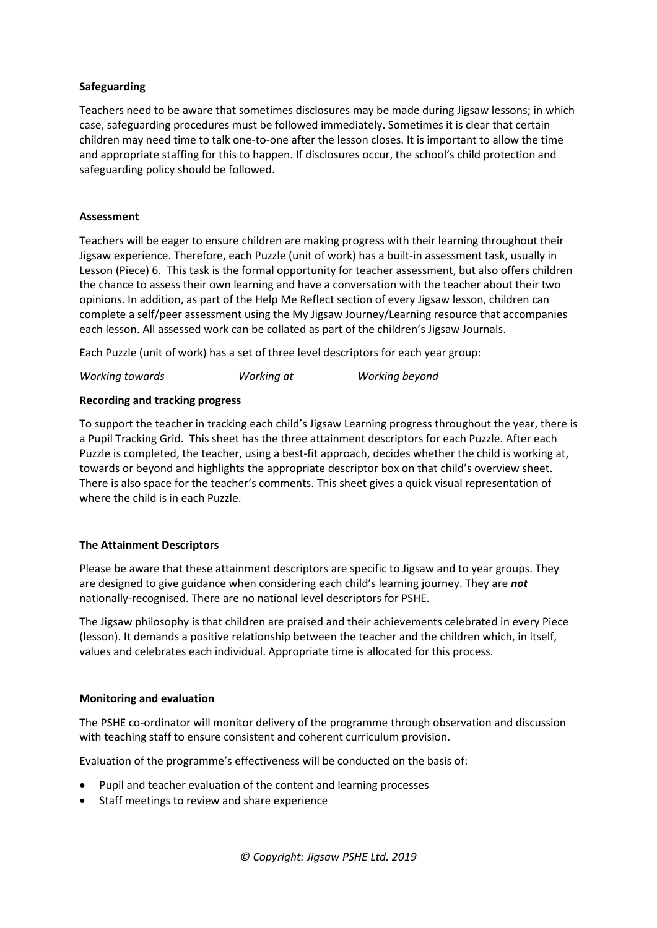#### **Safeguarding**

Teachers need to be aware that sometimes disclosures may be made during Jigsaw lessons; in which case, safeguarding procedures must be followed immediately. Sometimes it is clear that certain children may need time to talk one-to-one after the lesson closes. It is important to allow the time and appropriate staffing for this to happen. If disclosures occur, the school's child protection and safeguarding policy should be followed.

#### **Assessment**

Teachers will be eager to ensure children are making progress with their learning throughout their Jigsaw experience. Therefore, each Puzzle (unit of work) has a built-in assessment task, usually in Lesson (Piece) 6. This task is the formal opportunity for teacher assessment, but also offers children the chance to assess their own learning and have a conversation with the teacher about their two opinions. In addition, as part of the Help Me Reflect section of every Jigsaw lesson, children can complete a self/peer assessment using the My Jigsaw Journey/Learning resource that accompanies each lesson. All assessed work can be collated as part of the children's Jigsaw Journals.

Each Puzzle (unit of work) has a set of three level descriptors for each year group:

*Working towards Working at Working beyond*

#### **Recording and tracking progress**

To support the teacher in tracking each child's Jigsaw Learning progress throughout the year, there is a Pupil Tracking Grid. This sheet has the three attainment descriptors for each Puzzle. After each Puzzle is completed, the teacher, using a best-fit approach, decides whether the child is working at, towards or beyond and highlights the appropriate descriptor box on that child's overview sheet. There is also space for the teacher's comments. This sheet gives a quick visual representation of where the child is in each Puzzle.

## **The Attainment Descriptors**

Please be aware that these attainment descriptors are specific to Jigsaw and to year groups. They are designed to give guidance when considering each child's learning journey. They are *not* nationally-recognised. There are no national level descriptors for PSHE.

The Jigsaw philosophy is that children are praised and their achievements celebrated in every Piece (lesson). It demands a positive relationship between the teacher and the children which, in itself, values and celebrates each individual. Appropriate time is allocated for this process.

#### **Monitoring and evaluation**

The PSHE co-ordinator will monitor delivery of the programme through observation and discussion with teaching staff to ensure consistent and coherent curriculum provision.

Evaluation of the programme's effectiveness will be conducted on the basis of:

- Pupil and teacher evaluation of the content and learning processes
- Staff meetings to review and share experience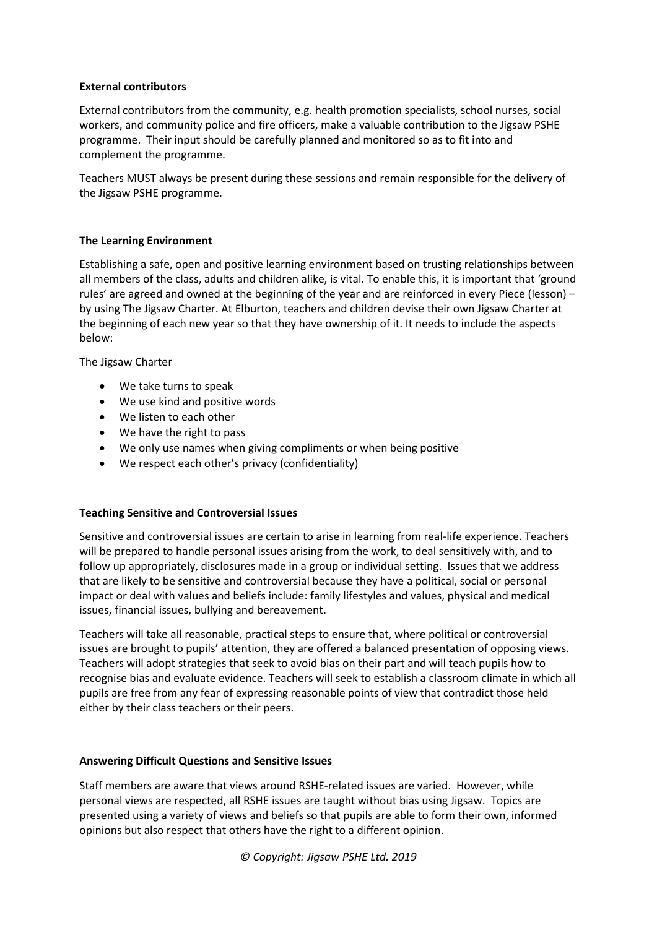#### **External contributors**

External contributors from the community, e.g. health promotion specialists, school nurses, social workers, and community police and fire officers, make a valuable contribution to the Jigsaw PSHE programme. Their input should be carefully planned and monitored so as to fit into and complement the programme.

Teachers MUST always be present during these sessions and remain responsible for the delivery of the Jigsaw PSHE programme.

#### **The Learning Environment**

Establishing a safe, open and positive learning environment based on trusting relationships between all members of the class, adults and children alike, is vital. To enable this, it is important that 'ground rules' are agreed and owned at the beginning of the year and are reinforced in every Piece (lesson) – by using The Jigsaw Charter. At Elburton, teachers and children devise their own Jigsaw Charter at the beginning of each new year so that they have ownership of it. It needs to include the aspects below:

The Jigsaw Charter

- We take turns to speak
- We use kind and positive words
- We listen to each other
- We have the right to pass
- We only use names when giving compliments or when being positive
- We respect each other's privacy (confidentiality)

## **Teaching Sensitive and Controversial Issues**

Sensitive and controversial issues are certain to arise in learning from real-life experience. Teachers will be prepared to handle personal issues arising from the work, to deal sensitively with, and to follow up appropriately, disclosures made in a group or individual setting. Issues that we address that are likely to be sensitive and controversial because they have a political, social or personal impact or deal with values and beliefs include: family lifestyles and values, physical and medical issues, financial issues, bullying and bereavement.

Teachers will take all reasonable, practical steps to ensure that, where political or controversial issues are brought to pupils' attention, they are offered a balanced presentation of opposing views. Teachers will adopt strategies that seek to avoid bias on their part and will teach pupils how to recognise bias and evaluate evidence. Teachers will seek to establish a classroom climate in which all pupils are free from any fear of expressing reasonable points of view that contradict those held either by their class teachers or their peers.

#### **Answering Difficult Questions and Sensitive Issues**

Staff members are aware that views around RSHE-related issues are varied. However, while personal views are respected, all RSHE issues are taught without bias using Jigsaw. Topics are presented using a variety of views and beliefs so that pupils are able to form their own, informed opinions but also respect that others have the right to a different opinion.

*© Copyright: Jigsaw PSHE Ltd. 2019*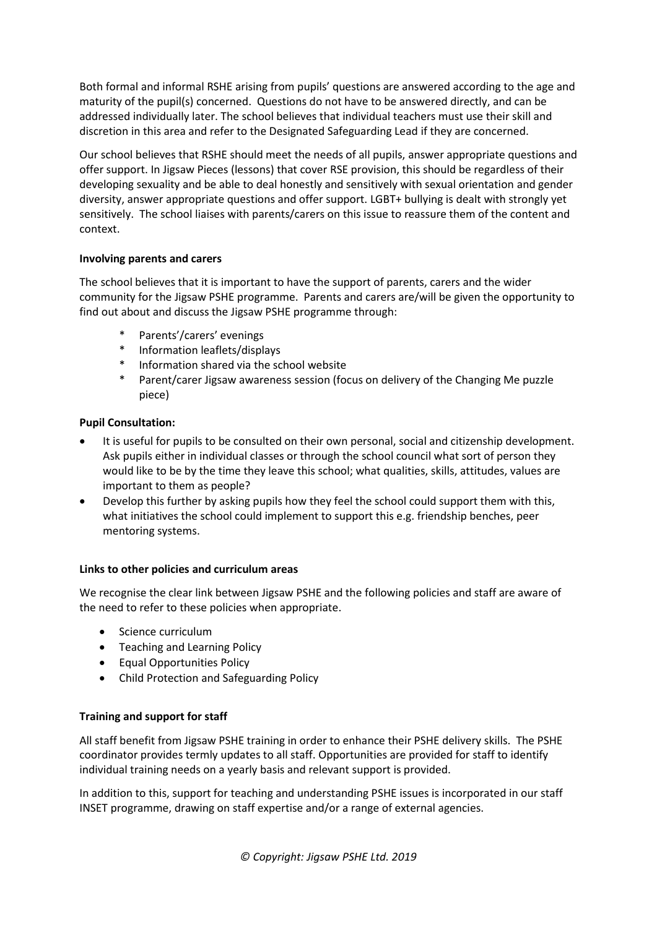Both formal and informal RSHE arising from pupils' questions are answered according to the age and maturity of the pupil(s) concerned. Questions do not have to be answered directly, and can be addressed individually later. The school believes that individual teachers must use their skill and discretion in this area and refer to the Designated Safeguarding Lead if they are concerned.

Our school believes that RSHE should meet the needs of all pupils, answer appropriate questions and offer support. In Jigsaw Pieces (lessons) that cover RSE provision, this should be regardless of their developing sexuality and be able to deal honestly and sensitively with sexual orientation and gender diversity, answer appropriate questions and offer support. LGBT+ bullying is dealt with strongly yet sensitively. The school liaises with parents/carers on this issue to reassure them of the content and context.

## **Involving parents and carers**

The school believes that it is important to have the support of parents, carers and the wider community for the Jigsaw PSHE programme. Parents and carers are/will be given the opportunity to find out about and discuss the Jigsaw PSHE programme through:

- Parents'/carers' evenings
- \* Information leaflets/displays
- Information shared via the school website
- Parent/carer Jigsaw awareness session (focus on delivery of the Changing Me puzzle piece)

#### **Pupil Consultation:**

- It is useful for pupils to be consulted on their own personal, social and citizenship development. Ask pupils either in individual classes or through the school council what sort of person they would like to be by the time they leave this school; what qualities, skills, attitudes, values are important to them as people?
- Develop this further by asking pupils how they feel the school could support them with this, what initiatives the school could implement to support this e.g. friendship benches, peer mentoring systems.

#### **Links to other policies and curriculum areas**

We recognise the clear link between Jigsaw PSHE and the following policies and staff are aware of the need to refer to these policies when appropriate.

- Science curriculum
- Teaching and Learning Policy
- Equal Opportunities Policy
- Child Protection and Safeguarding Policy

#### **Training and support for staff**

All staff benefit from Jigsaw PSHE training in order to enhance their PSHE delivery skills. The PSHE coordinator provides termly updates to all staff. Opportunities are provided for staff to identify individual training needs on a yearly basis and relevant support is provided.

In addition to this, support for teaching and understanding PSHE issues is incorporated in our staff INSET programme, drawing on staff expertise and/or a range of external agencies.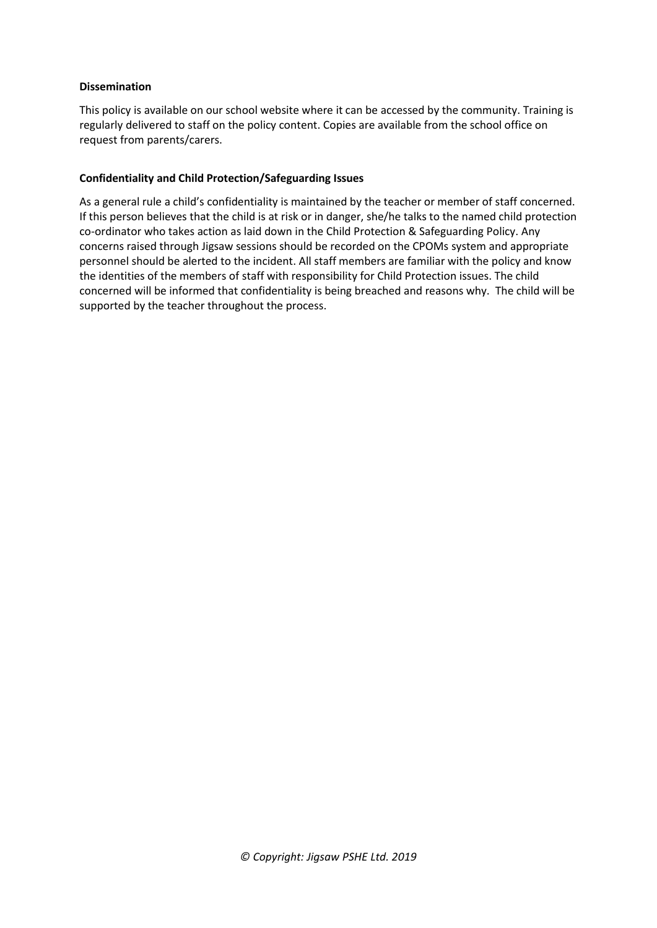#### **Dissemination**

This policy is available on our school website where it can be accessed by the community. Training is regularly delivered to staff on the policy content. Copies are available from the school office on request from parents/carers.

#### **Confidentiality and Child Protection/Safeguarding Issues**

As a general rule a child's confidentiality is maintained by the teacher or member of staff concerned. If this person believes that the child is at risk or in danger, she/he talks to the named child protection co-ordinator who takes action as laid down in the Child Protection & Safeguarding Policy. Any concerns raised through Jigsaw sessions should be recorded on the CPOMs system and appropriate personnel should be alerted to the incident. All staff members are familiar with the policy and know the identities of the members of staff with responsibility for Child Protection issues. The child concerned will be informed that confidentiality is being breached and reasons why. The child will be supported by the teacher throughout the process.